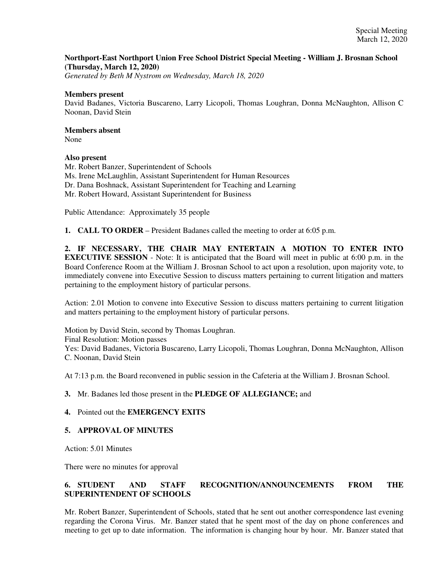## **Northport-East Northport Union Free School District Special Meeting - William J. Brosnan School (Thursday, March 12, 2020)**

*Generated by Beth M Nystrom on Wednesday, March 18, 2020*

#### **Members present**

David Badanes, Victoria Buscareno, Larry Licopoli, Thomas Loughran, Donna McNaughton, Allison C Noonan, David Stein

# **Members absent**

None

## **Also present**

Mr. Robert Banzer, Superintendent of Schools Ms. Irene McLaughlin, Assistant Superintendent for Human Resources Dr. Dana Boshnack, Assistant Superintendent for Teaching and Learning Mr. Robert Howard, Assistant Superintendent for Business

Public Attendance: Approximately 35 people

**1. CALL TO ORDER** – President Badanes called the meeting to order at 6:05 p.m.

**2. IF NECESSARY, THE CHAIR MAY ENTERTAIN A MOTION TO ENTER INTO EXECUTIVE SESSION** - Note: It is anticipated that the Board will meet in public at 6:00 p.m. in the Board Conference Room at the William J. Brosnan School to act upon a resolution, upon majority vote, to immediately convene into Executive Session to discuss matters pertaining to current litigation and matters pertaining to the employment history of particular persons.

Action: 2.01 Motion to convene into Executive Session to discuss matters pertaining to current litigation and matters pertaining to the employment history of particular persons.

Motion by David Stein, second by Thomas Loughran. Final Resolution: Motion passes Yes: David Badanes, Victoria Buscareno, Larry Licopoli, Thomas Loughran, Donna McNaughton, Allison C. Noonan, David Stein

At 7:13 p.m. the Board reconvened in public session in the Cafeteria at the William J. Brosnan School.

## **3.** Mr. Badanes led those present in the **PLEDGE OF ALLEGIANCE;** and

## **4.** Pointed out the **EMERGENCY EXITS**

## **5. APPROVAL OF MINUTES**

Action: 5.01 Minutes

There were no minutes for approval

# **6. STUDENT AND STAFF RECOGNITION/ANNOUNCEMENTS FROM THE SUPERINTENDENT OF SCHOOLS**

Mr. Robert Banzer, Superintendent of Schools, stated that he sent out another correspondence last evening regarding the Corona Virus. Mr. Banzer stated that he spent most of the day on phone conferences and meeting to get up to date information. The information is changing hour by hour. Mr. Banzer stated that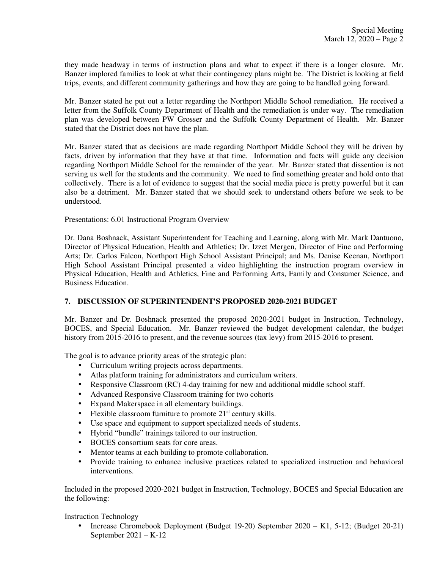they made headway in terms of instruction plans and what to expect if there is a longer closure. Mr. Banzer implored families to look at what their contingency plans might be. The District is looking at field trips, events, and different community gatherings and how they are going to be handled going forward.

Mr. Banzer stated he put out a letter regarding the Northport Middle School remediation. He received a letter from the Suffolk County Department of Health and the remediation is under way. The remediation plan was developed between PW Grosser and the Suffolk County Department of Health. Mr. Banzer stated that the District does not have the plan.

Mr. Banzer stated that as decisions are made regarding Northport Middle School they will be driven by facts, driven by information that they have at that time. Information and facts will guide any decision regarding Northport Middle School for the remainder of the year. Mr. Banzer stated that dissention is not serving us well for the students and the community. We need to find something greater and hold onto that collectively. There is a lot of evidence to suggest that the social media piece is pretty powerful but it can also be a detriment. Mr. Banzer stated that we should seek to understand others before we seek to be understood.

## Presentations: 6.01 Instructional Program Overview

Dr. Dana Boshnack, Assistant Superintendent for Teaching and Learning, along with Mr. Mark Dantuono, Director of Physical Education, Health and Athletics; Dr. Izzet Mergen, Director of Fine and Performing Arts; Dr. Carlos Falcon, Northport High School Assistant Principal; and Ms. Denise Keenan, Northport High School Assistant Principal presented a video highlighting the instruction program overview in Physical Education, Health and Athletics, Fine and Performing Arts, Family and Consumer Science, and Business Education.

## **7. DISCUSSION OF SUPERINTENDENT'S PROPOSED 2020-2021 BUDGET**

Mr. Banzer and Dr. Boshnack presented the proposed 2020-2021 budget in Instruction, Technology, BOCES, and Special Education. Mr. Banzer reviewed the budget development calendar, the budget history from 2015-2016 to present, and the revenue sources (tax levy) from 2015-2016 to present.

The goal is to advance priority areas of the strategic plan:

- Curriculum writing projects across departments.
- Atlas platform training for administrators and curriculum writers.
- Responsive Classroom (RC) 4-day training for new and additional middle school staff.
- Advanced Responsive Classroom training for two cohorts
- Expand Makerspace in all elementary buildings.
- Flexible classroom furniture to promote  $21<sup>st</sup>$  century skills.
- Use space and equipment to support specialized needs of students.
- Hybrid "bundle" trainings tailored to our instruction.
- BOCES consortium seats for core areas.
- Mentor teams at each building to promote collaboration.
- Provide training to enhance inclusive practices related to specialized instruction and behavioral interventions.

Included in the proposed 2020-2021 budget in Instruction, Technology, BOCES and Special Education are the following:

Instruction Technology

• Increase Chromebook Deployment (Budget 19-20) September 2020 – K1, 5-12; (Budget 20-21) September 2021 – K-12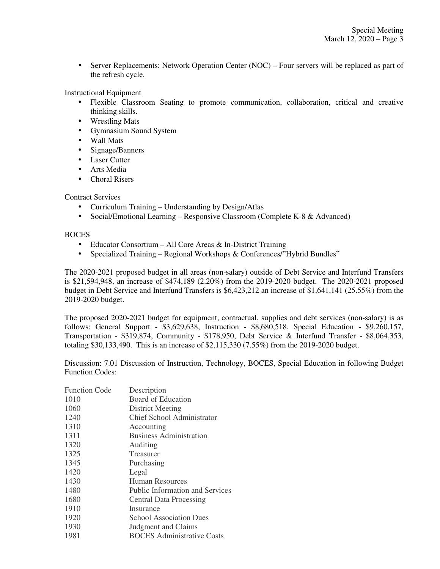• Server Replacements: Network Operation Center (NOC) – Four servers will be replaced as part of the refresh cycle.

Instructional Equipment

- Flexible Classroom Seating to promote communication, collaboration, critical and creative thinking skills.
- Wrestling Mats
- Gymnasium Sound System
- Wall Mats
- Signage/Banners
- Laser Cutter
- Arts Media
- Choral Risers

Contract Services

- Curriculum Training Understanding by Design/Atlas
- Social/Emotional Learning Responsive Classroom (Complete K-8 & Advanced)

# **BOCES**

- Educator Consortium All Core Areas & In-District Training
- Specialized Training Regional Workshops & Conferences/"Hybrid Bundles"

The 2020-2021 proposed budget in all areas (non-salary) outside of Debt Service and Interfund Transfers is \$21,594,948, an increase of \$474,189 (2.20%) from the 2019-2020 budget. The 2020-2021 proposed budget in Debt Service and Interfund Transfers is \$6,423,212 an increase of \$1,641,141 (25.55%) from the 2019-2020 budget.

The proposed 2020-2021 budget for equipment, contractual, supplies and debt services (non-salary) is as follows: General Support - \$3,629,638, Instruction - \$8,680,518, Special Education - \$9,260,157, Transportation - \$319,874, Community - \$178,950, Debt Service & Interfund Transfer - \$8,064,353, totaling \$30,133,490. This is an increase of \$2,115,330 (7.55%) from the 2019-2020 budget.

Discussion: 7.01 Discussion of Instruction, Technology, BOCES, Special Education in following Budget Function Codes:

| <b>Function Code</b><br>Description            |  |
|------------------------------------------------|--|
| Board of Education<br>1010                     |  |
| 1060<br><b>District Meeting</b>                |  |
| Chief School Administrator<br>1240             |  |
| 1310<br>Accounting                             |  |
| <b>Business Administration</b><br>1311         |  |
| 1320<br>Auditing                               |  |
| 1325<br>Treasurer                              |  |
| 1345<br>Purchasing                             |  |
| 1420<br>Legal                                  |  |
| 1430<br><b>Human Resources</b>                 |  |
| 1480<br><b>Public Information and Services</b> |  |
| 1680<br><b>Central Data Processing</b>         |  |
| 1910<br>Insurance                              |  |
| 1920<br><b>School Association Dues</b>         |  |
| 1930<br><b>Judgment and Claims</b>             |  |
| <b>BOCES</b> Administrative Costs<br>1981      |  |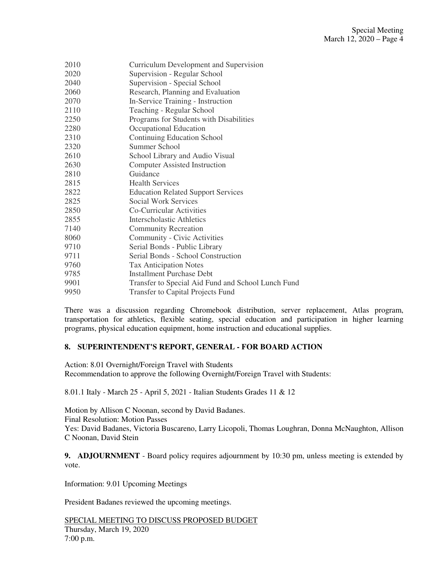| 2010 | Curriculum Development and Supervision             |
|------|----------------------------------------------------|
| 2020 | Supervision - Regular School                       |
| 2040 | Supervision - Special School                       |
| 2060 | Research, Planning and Evaluation                  |
| 2070 | In-Service Training - Instruction                  |
| 2110 | Teaching - Regular School                          |
| 2250 | Programs for Students with Disabilities            |
| 2280 | Occupational Education                             |
| 2310 | <b>Continuing Education School</b>                 |
| 2320 | Summer School                                      |
| 2610 | School Library and Audio Visual                    |
| 2630 | <b>Computer Assisted Instruction</b>               |
| 2810 | Guidance                                           |
| 2815 | <b>Health Services</b>                             |
| 2822 | <b>Education Related Support Services</b>          |
| 2825 | Social Work Services                               |
| 2850 | Co-Curricular Activities                           |
| 2855 | <b>Interscholastic Athletics</b>                   |
| 7140 | <b>Community Recreation</b>                        |
| 8060 | Community - Civic Activities                       |
| 9710 | Serial Bonds - Public Library                      |
| 9711 | Serial Bonds - School Construction                 |
| 9760 | <b>Tax Anticipation Notes</b>                      |
| 9785 | <b>Installment Purchase Debt</b>                   |
| 9901 | Transfer to Special Aid Fund and School Lunch Fund |
| 9950 | <b>Transfer to Capital Projects Fund</b>           |
|      |                                                    |

There was a discussion regarding Chromebook distribution, server replacement, Atlas program, transportation for athletics, flexible seating, special education and participation in higher learning programs, physical education equipment, home instruction and educational supplies.

## **8. SUPERINTENDENT'S REPORT, GENERAL - FOR BOARD ACTION**

Action: 8.01 Overnight/Foreign Travel with Students Recommendation to approve the following Overnight/Foreign Travel with Students:

8.01.1 Italy - March 25 - April 5, 2021 - Italian Students Grades 11 & 12

Motion by Allison C Noonan, second by David Badanes. Final Resolution: Motion Passes Yes: David Badanes, Victoria Buscareno, Larry Licopoli, Thomas Loughran, Donna McNaughton, Allison C Noonan, David Stein

**9. ADJOURNMENT** - Board policy requires adjournment by 10:30 pm, unless meeting is extended by vote.

Information: 9.01 Upcoming Meetings

President Badanes reviewed the upcoming meetings.

SPECIAL MEETING TO DISCUSS PROPOSED BUDGET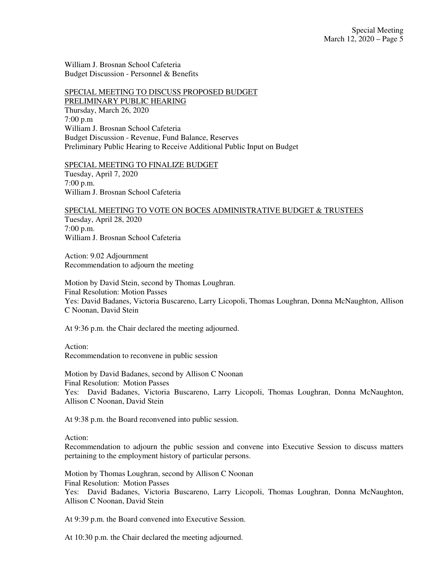William J. Brosnan School Cafeteria Budget Discussion - Personnel & Benefits

#### SPECIAL MEETING TO DISCUSS PROPOSED BUDGET PRELIMINARY PUBLIC HEARING

Thursday, March 26, 2020 7:00 p.m William J. Brosnan School Cafeteria Budget Discussion - Revenue, Fund Balance, Reserves Preliminary Public Hearing to Receive Additional Public Input on Budget

#### SPECIAL MEETING TO FINALIZE BUDGET

Tuesday, April 7, 2020 7:00 p.m. William J. Brosnan School Cafeteria

#### SPECIAL MEETING TO VOTE ON BOCES ADMINISTRATIVE BUDGET & TRUSTEES

Tuesday, April 28, 2020 7:00 p.m. William J. Brosnan School Cafeteria

Action: 9.02 Adjournment Recommendation to adjourn the meeting

Motion by David Stein, second by Thomas Loughran. Final Resolution: Motion Passes Yes: David Badanes, Victoria Buscareno, Larry Licopoli, Thomas Loughran, Donna McNaughton, Allison C Noonan, David Stein

At 9:36 p.m. the Chair declared the meeting adjourned.

Action: Recommendation to reconvene in public session

Motion by David Badanes, second by Allison C Noonan Final Resolution: Motion Passes Yes: David Badanes, Victoria Buscareno, Larry Licopoli, Thomas Loughran, Donna McNaughton, Allison C Noonan, David Stein

At 9:38 p.m. the Board reconvened into public session.

Action:

Recommendation to adjourn the public session and convene into Executive Session to discuss matters pertaining to the employment history of particular persons.

Motion by Thomas Loughran, second by Allison C Noonan Final Resolution: Motion Passes Yes: David Badanes, Victoria Buscareno, Larry Licopoli, Thomas Loughran, Donna McNaughton, Allison C Noonan, David Stein

At 9:39 p.m. the Board convened into Executive Session.

At 10:30 p.m. the Chair declared the meeting adjourned.